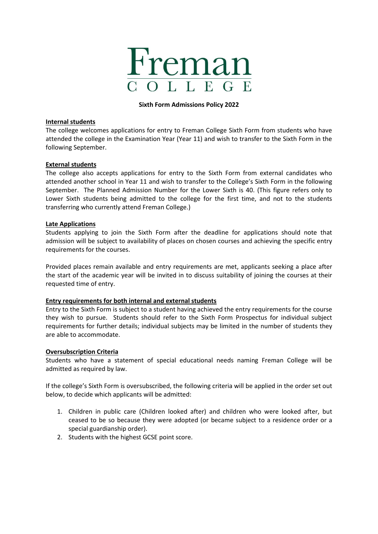

#### **Sixth Form Admissions Policy 2022**

# **Internal students**

The college welcomes applications for entry to Freman College Sixth Form from students who have attended the college in the Examination Year (Year 11) and wish to transfer to the Sixth Form in the following September.

## **External students**

The college also accepts applications for entry to the Sixth Form from external candidates who attended another school in Year 11 and wish to transfer to the College's Sixth Form in the following September. The Planned Admission Number for the Lower Sixth is 40. (This figure refers only to Lower Sixth students being admitted to the college for the first time, and not to the students transferring who currently attend Freman College.)

#### **Late Applications**

Students applying to join the Sixth Form after the deadline for applications should note that admission will be subject to availability of places on chosen courses and achieving the specific entry requirements for the courses.

Provided places remain available and entry requirements are met, applicants seeking a place after the start of the academic year will be invited in to discuss suitability of joining the courses at their requested time of entry.

## **Entry requirements for both internal and external students**

Entry to the Sixth Form is subject to a student having achieved the entry requirements for the course they wish to pursue. Students should refer to the Sixth Form Prospectus for individual subject requirements for further details; individual subjects may be limited in the number of students they are able to accommodate.

## **Oversubscription Criteria**

Students who have a statement of special educational needs naming Freman College will be admitted as required by law.

If the college's Sixth Form is oversubscribed, the following criteria will be applied in the order set out below, to decide which applicants will be admitted:

- 1. Children in public care (Children looked after) and children who were looked after, but ceased to be so because they were adopted (or became subject to a residence order or a special guardianship order).
- 2. Students with the highest GCSE point score.